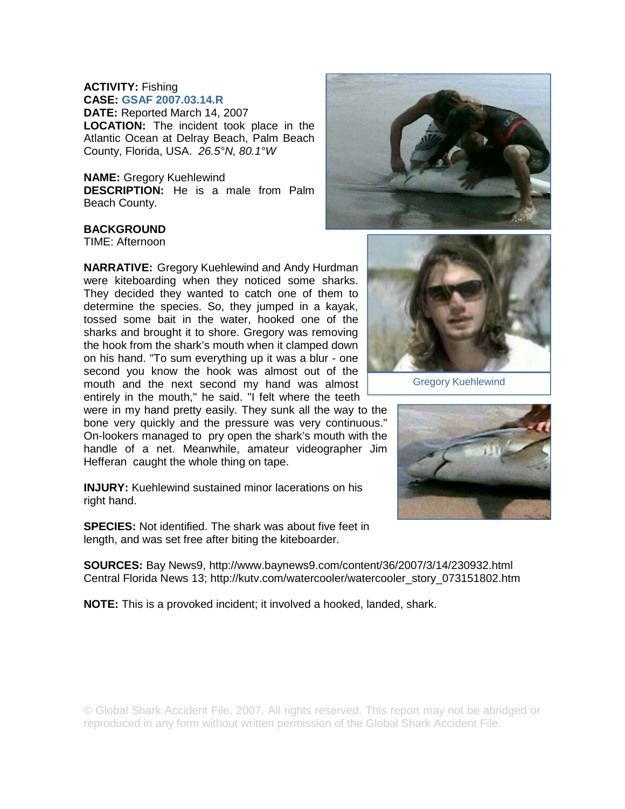## **ACTIVITY:** Fishing **CASE: GSAF 2007.03.14.R**

**DATE:** Reported March 14, 2007 **LOCATION:** The incident took place in the Atlantic Ocean at Delray Beach, Palm Beach County, Florida, USA. *26.5°N, 80.1°W* 

## **NAME:** Gregory Kuehlewind

**DESCRIPTION:** He is a male from Palm Beach County.

## **BACKGROUND**

TIME: Afternoon

**NARRATIVE:** Gregory Kuehlewind and Andy Hurdman were kiteboarding when they noticed some sharks. They decided they wanted to catch one of them to determine the species. So, they jumped in a kayak, tossed some bait in the water, hooked one of the sharks and brought it to shore. Gregory was removing the hook from the shark's mouth when it clamped down on his hand. "To sum everything up it was a blur - one second you know the hook was almost out of the mouth and the next second my hand was almost entirely in the mouth," he said. "I felt where the teeth

were in my hand pretty easily. They sunk all the way to the bone very quickly and the pressure was very continuous." On-lookers managed to pry open the shark's mouth with the handle of a net. Meanwhile, amateur videographer Jim Hefferan caught the whole thing on tape.

**INJURY:** Kuehlewind sustained minor lacerations on his right hand.

**SPECIES:** Not identified. The shark was about five feet in length, and was set free after biting the kiteboarder.

**SOURCES:** Bay News9, http://www.baynews9.com/content/36/2007/3/14/230932.html Central Florida News 13; http://kutv.com/watercooler/watercooler\_story\_073151802.htm

**NOTE:** This is a provoked incident; it involved a hooked, landed, shark.





Gregory Kuehlewind